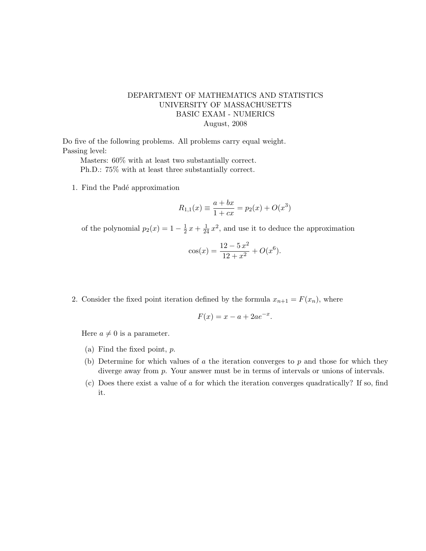## DEPARTMENT OF MATHEMATICS AND STATISTICS UNIVERSITY OF MASSACHUSETTS BASIC EXAM - NUMERICS August, 2008

Do five of the following problems. All problems carry equal weight. Passing level:

Masters: 60% with at least two substantially correct. Ph.D.: 75% with at least three substantially correct.

1. Find the Padé approximation

$$
R_{1,1}(x) \equiv \frac{a+bx}{1+cx} = p_2(x) + O(x^3)
$$

of the polynomial  $p_2(x) = 1 - \frac{1}{2}$  $\frac{1}{2}x + \frac{1}{24}x^2$ , and use it to deduce the approximation

$$
\cos(x) = \frac{12 - 5x^2}{12 + x^2} + O(x^6).
$$

2. Consider the fixed point iteration defined by the formula  $x_{n+1} = F(x_n)$ , where

$$
F(x) = x - a + 2ae^{-x}.
$$

Here  $a \neq 0$  is a parameter.

- (a) Find the fixed point, p.
- (b) Determine for which values of  $\alpha$  the iteration converges to  $p$  and those for which they diverge away from p. Your answer must be in terms of intervals or unions of intervals.
- (c) Does there exist a value of a for which the iteration converges quadratically? If so, find it.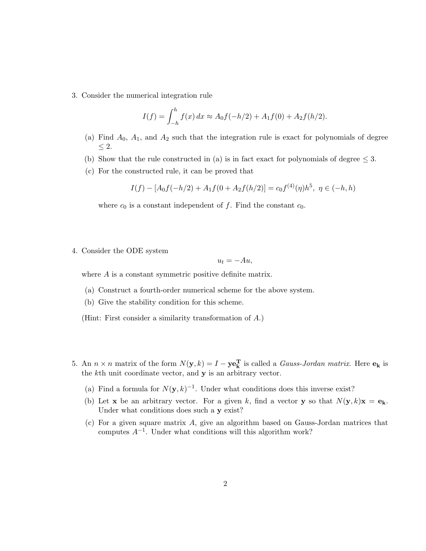3. Consider the numerical integration rule

$$
I(f) = \int_{-h}^{h} f(x) dx \approx A_0 f(-h/2) + A_1 f(0) + A_2 f(h/2).
$$

- (a) Find  $A_0$ ,  $A_1$ , and  $A_2$  such that the integration rule is exact for polynomials of degree ≤ 2.
- (b) Show that the rule constructed in (a) is in fact exact for polynomials of degree  $\leq$  3.
- (c) For the constructed rule, it can be proved that

$$
I(f) - [A_0 f(-h/2) + A_1 f(0 + A_2 f(h/2)] = c_0 f^{(4)}(\eta) h^5, \ \eta \in (-h, h)
$$

where  $c_0$  is a constant independent of f. Find the constant  $c_0$ .

## 4. Consider the ODE system

## $u_t = -Au$ ,

where A is a constant symmetric positive definite matrix.

- (a) Construct a fourth-order numerical scheme for the above system.
- (b) Give the stability condition for this scheme.

(Hint: First consider a similarity transformation of A.)

- 5. An  $n \times n$  matrix of the form  $N(\mathbf{y}, k) = I \mathbf{ye}_k^T$  is called a *Gauss-Jordan matrix*. Here  $\mathbf{e}_k$  is the  $k$ th unit coordinate vector, and  $y$  is an arbitrary vector.
	- (a) Find a formula for  $N(y, k)^{-1}$ . Under what conditions does this inverse exist?
	- (b) Let **x** be an arbitrary vector. For a given k, find a vector **y** so that  $N(\mathbf{y}, k)\mathbf{x} = \mathbf{e_k}$ . Under what conditions does such a y exist?
	- (c) For a given square matrix A, give an algorithm based on Gauss-Jordan matrices that computes  $A^{-1}$ . Under what conditions will this algorithm work?